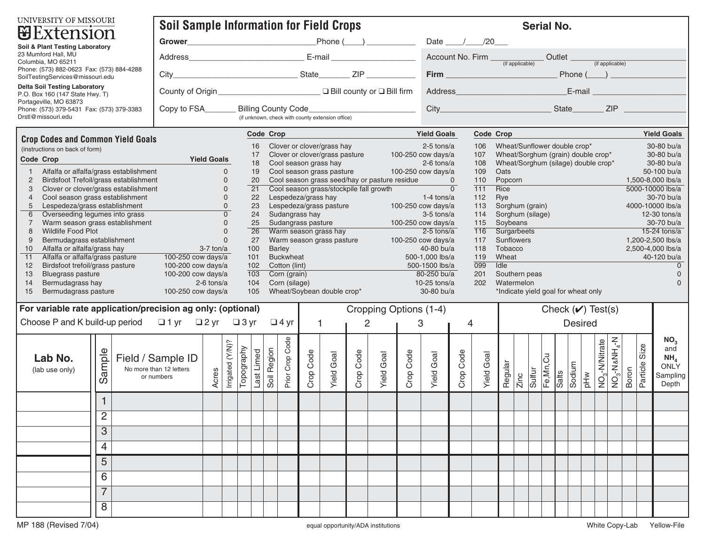| UNIVERSITY OF MISSOURI<br><b>U</b> Extension                                                        |                                          | <b>Soil Sample Information for Field Crops</b>                                                                                                                                                                           |                                                                                                                                                                         |           |                   |           |                   |                                                                                                          |                                 | <b>Serial No.</b>                                                                                |                   |  |                                       |                  |                        |                    |  |                                   |                            |                   |                        |
|-----------------------------------------------------------------------------------------------------|------------------------------------------|--------------------------------------------------------------------------------------------------------------------------------------------------------------------------------------------------------------------------|-------------------------------------------------------------------------------------------------------------------------------------------------------------------------|-----------|-------------------|-----------|-------------------|----------------------------------------------------------------------------------------------------------|---------------------------------|--------------------------------------------------------------------------------------------------|-------------------|--|---------------------------------------|------------------|------------------------|--------------------|--|-----------------------------------|----------------------------|-------------------|------------------------|
| Soil & Plant Testing Laboratory                                                                     |                                          |                                                                                                                                                                                                                          |                                                                                                                                                                         |           |                   |           |                   |                                                                                                          | Date $\frac{1}{20}$             |                                                                                                  |                   |  |                                       |                  |                        |                    |  |                                   |                            |                   |                        |
| 23 Mumford Hall, MU                                                                                 |                                          |                                                                                                                                                                                                                          |                                                                                                                                                                         |           |                   |           |                   |                                                                                                          |                                 |                                                                                                  |                   |  |                                       |                  |                        |                    |  |                                   |                            |                   |                        |
| Columbia, MO 65211<br>Phone: (573) 882-0623 Fax: (573) 884-4288<br>SoilTestingServices@missouri.edu |                                          |                                                                                                                                                                                                                          |                                                                                                                                                                         |           |                   |           |                   |                                                                                                          |                                 |                                                                                                  |                   |  |                                       |                  |                        |                    |  |                                   |                            |                   |                        |
| <b>Delta Soil Testing Laboratory</b><br>P.O. Box 160 (147 State Hwy. T)                             |                                          |                                                                                                                                                                                                                          |                                                                                                                                                                         |           |                   |           |                   |                                                                                                          |                                 |                                                                                                  |                   |  |                                       |                  |                        |                    |  |                                   |                            |                   |                        |
| Portageville, MO 63873<br>Phone: (573) 379-5431 Fax: (573) 379-3383<br>Drstl@missouri.edu           |                                          | (if unknown, check with county extension office)                                                                                                                                                                         |                                                                                                                                                                         |           |                   |           |                   |                                                                                                          |                                 |                                                                                                  |                   |  |                                       |                  |                        |                    |  |                                   |                            |                   |                        |
| <b>Crop Codes and Common Yield Goals</b>                                                            |                                          |                                                                                                                                                                                                                          | Code Crop                                                                                                                                                               |           |                   |           |                   |                                                                                                          | <b>Yield Goals</b><br>Code Crop |                                                                                                  |                   |  |                                       |                  |                        | <b>Yield Goals</b> |  |                                   |                            |                   |                        |
| (instructions on back of form)                                                                      |                                          | 17                                                                                                                                                                                                                       | 16<br>Clover or clover/grass hay<br>Clover or clover/grass pasture 100-250 cow days/a                                                                                   |           |                   |           |                   |                                                                                                          |                                 | Wheat/Sunflower double crop*<br>$2-5$ tons/a<br>106<br>Wheat/Sorghum (grain) double crop*<br>107 |                   |  |                                       |                  |                        |                    |  | 30-80 bu/a<br>30-80 bu/a          |                            |                   |                        |
| Code Crop<br><b>Experience of the State of Principal Priest Coals</b>                               |                                          |                                                                                                                                                                                                                          | Cool season grass hay<br>$2-6$ tons/a<br>Wheat/Sorghum (silage) double crop*<br>18<br>108<br>Cool season grass hay and the season grass pasture to a 100-250 cow days/a |           |                   |           |                   |                                                                                                          |                                 |                                                                                                  |                   |  |                                       |                  | 30-80 bu/a             |                    |  |                                   |                            |                   |                        |
| Alfalfa or alfalfa/grass establishment<br>Birdsfoot Trefoil/grass establishment                     | $\mathbf{0}$<br>$\mathbf 0$<br>20        | 109<br>19<br>Oats<br>Cool season grass seed/hay or pasture residue 0<br>110<br>Popcorn <b>Exercía de San Antonio III de San Antonio III de San Antonio III de San Antonio III de San Antonio II</b><br>1,500-8,000 lbs/a |                                                                                                                                                                         |           |                   |           |                   |                                                                                                          |                                 |                                                                                                  |                   |  |                                       |                  | 50-100 bu/a            |                    |  |                                   |                            |                   |                        |
| Clover or clover/grass establishment<br>3                                                           | $\mathsf{O}\xspace$<br>$\overline{21}$   | $\overline{0}$<br>Cool season grass/stockpile fall growth<br>111<br>Rice                                                                                                                                                 |                                                                                                                                                                         |           |                   |           |                   |                                                                                                          |                                 |                                                                                                  |                   |  |                                       | 5000-10000 lbs/a |                        |                    |  |                                   |                            |                   |                        |
| Cool season grass establishment<br>$\overline{4}$<br>Lespedeza/grass establishment                  | $\mathbf{0}$<br>$\mathbf{0}$             | Lespedeza/grass hay<br>Lespedeza/grass pasture<br>Sudongrass pasture<br>Sudongrass hay<br>A 100-250 cow days/a<br>22<br>23                                                                                               |                                                                                                                                                                         |           |                   |           |                   | 112<br>Rye<br>30-70 bu/a<br>Sorghum (grain)<br>113<br>4000-10000 lbs/a                                   |                                 |                                                                                                  |                   |  |                                       |                  |                        |                    |  |                                   |                            |                   |                        |
| Overseeding legumes into grass                                                                      | $\overline{0}$<br>24                     | Sudangrass hay                                                                                                                                                                                                           |                                                                                                                                                                         |           |                   |           |                   | Sorghum (silage)<br>$3-5$ tons/a<br>114<br>$12-30$ tons/a                                                |                                 |                                                                                                  |                   |  |                                       |                  |                        |                    |  |                                   |                            |                   |                        |
| Warm season grass establishment<br>8<br>Wildlife Food Plot                                          | $\mathbf{0}$<br>$\mathsf{O}\xspace$      | Sudangrass pasture<br>Warm season grass hay<br>2-5 tons/a<br>25<br>$\overline{26}$                                                                                                                                       |                                                                                                                                                                         |           |                   |           |                   | 115<br>Soybeans<br>30-70 bu/a<br>$15-24$ tons/a<br>116<br>Surgarbeets                                    |                                 |                                                                                                  |                   |  |                                       |                  |                        |                    |  |                                   |                            |                   |                        |
| Bermudagrass establishment<br>9                                                                     | $\mathbf{0}$<br>27                       | Warm season grass pasture 100-250 cow days/a                                                                                                                                                                             |                                                                                                                                                                         |           |                   |           |                   | Sunflowers<br>117<br>1.200-2.500 lbs/a                                                                   |                                 |                                                                                                  |                   |  |                                       |                  |                        |                    |  |                                   |                            |                   |                        |
| Alfalfa or alfalfa/grass hay<br>10<br>11<br>Alfalfa or alfalfa/grass pasture                        | $3-7$ ton/a<br>100<br>100-250 cow days/a | <b>Barley</b>                                                                                                                                                                                                            |                                                                                                                                                                         |           |                   |           |                   | 40-80 bu/a<br>118<br>Tobacco<br>2,500-4,000 lbs/a                                                        |                                 |                                                                                                  |                   |  |                                       |                  |                        |                    |  |                                   |                            |                   |                        |
| Birdsfoot trefoil/grass pasture<br>12                                                               | 100-200 cow days/a<br>102                | <b>Buckwheat</b><br>101<br>Cotton (lint)<br><u> 1990 - Johann Barn, mars ann an t-</u>                                                                                                                                   |                                                                                                                                                                         |           |                   |           |                   | 119<br>500-1,000 lbs/a<br>Wheat<br>40-120 bu/a<br>$\overline{099}$<br>Idie<br>500-1500 lbs/a<br>$\Omega$ |                                 |                                                                                                  |                   |  |                                       |                  |                        |                    |  |                                   |                            |                   |                        |
| 13<br><b>Bluegrass pasture</b>                                                                      | 100-200 cow days/a<br>103                | Corn (grain)                                                                                                                                                                                                             |                                                                                                                                                                         |           |                   |           |                   | 80-250 bu/a<br>201<br>Southern peas<br>$\Omega$                                                          |                                 |                                                                                                  |                   |  |                                       |                  |                        |                    |  |                                   |                            |                   |                        |
| Bermudagrass hay<br>14<br>15<br>Bermudagrass pasture                                                | $2-6$ tons/a                             | Corn (silage)<br>104<br>Wheat/Soybean double crop*<br>105                                                                                                                                                                |                                                                                                                                                                         |           |                   |           |                   | 10-25 tons/a<br>202<br>Watermelon<br>30-80 bu/a<br>*Indicate yield goal for wheat only                   |                                 |                                                                                                  |                   |  |                                       |                  |                        |                    |  |                                   |                            |                   |                        |
| 100-250 cow days/a<br>For variable rate application/precision ag only: (optional)                   |                                          |                                                                                                                                                                                                                          |                                                                                                                                                                         |           |                   |           |                   |                                                                                                          |                                 |                                                                                                  |                   |  |                                       |                  |                        |                    |  |                                   |                            |                   |                        |
|                                                                                                     |                                          | Cropping Options (1-4)                                                                                                                                                                                                   |                                                                                                                                                                         |           |                   |           |                   |                                                                                                          |                                 |                                                                                                  |                   |  |                                       |                  | Check $(\vee)$ Test(s) |                    |  |                                   |                            |                   |                        |
| Choose P and K build-up period $\Box$ 1 yr $\Box$ 2 yr $\Box$ 3 yr $\Box$ 4 yr                      |                                          | $\overline{1}$<br>$\overline{2}$                                                                                                                                                                                         |                                                                                                                                                                         |           |                   |           |                   | 3<br>4                                                                                                   |                                 |                                                                                                  |                   |  |                                       | <b>Desired</b>   |                        |                    |  |                                   |                            |                   |                        |
|                                                                                                     |                                          |                                                                                                                                                                                                                          |                                                                                                                                                                         |           |                   |           |                   |                                                                                                          |                                 |                                                                                                  |                   |  |                                       |                  |                        |                    |  |                                   |                            |                   | NO <sub>3</sub><br>and |
| Sample<br>Lab No.                                                                                   | Field / Sample ID                        |                                                                                                                                                                                                                          |                                                                                                                                                                         |           |                   |           |                   |                                                                                                          |                                 |                                                                                                  |                   |  |                                       |                  |                        |                    |  |                                   |                            | Size              | NH <sub>4</sub>        |
| (lab use only)                                                                                      | No more than 12 letters                  |                                                                                                                                                                                                                          |                                                                                                                                                                         |           |                   |           |                   |                                                                                                          |                                 |                                                                                                  |                   |  |                                       |                  |                        |                    |  |                                   |                            |                   | <b>ONLY</b>            |
|                                                                                                     | Acres<br>or numbers                      | Irrigated (Y/N)?<br>Topography<br>Last Limed                                                                                                                                                                             | Prior Crop Code<br>Soil Region                                                                                                                                          | Crop Code | <b>Yield Goal</b> | Crop Code | <b>Yield Goal</b> | Crop Code                                                                                                | <b>Yield Goal</b>               | Crop Code                                                                                        | <b>Yield Goal</b> |  | Regular<br>Zinc<br>Sulfur<br>Fe,Mn,Cu |                  |                        | Salts<br>Sodium    |  | pHw<br>NO <sub>3</sub> -N/Nitrate | $\overline{NO_3-NaNH_4-N}$ | Particle<br>Boron | Sampling<br>Depth      |
|                                                                                                     |                                          |                                                                                                                                                                                                                          |                                                                                                                                                                         |           |                   |           |                   |                                                                                                          |                                 |                                                                                                  |                   |  |                                       |                  |                        |                    |  |                                   |                            |                   |                        |
| 2                                                                                                   |                                          |                                                                                                                                                                                                                          |                                                                                                                                                                         |           |                   |           |                   |                                                                                                          |                                 |                                                                                                  |                   |  |                                       |                  |                        |                    |  |                                   |                            |                   |                        |
| 3                                                                                                   |                                          |                                                                                                                                                                                                                          |                                                                                                                                                                         |           |                   |           |                   |                                                                                                          |                                 |                                                                                                  |                   |  |                                       |                  |                        |                    |  |                                   |                            |                   |                        |
| 4                                                                                                   |                                          |                                                                                                                                                                                                                          |                                                                                                                                                                         |           |                   |           |                   |                                                                                                          |                                 |                                                                                                  |                   |  |                                       |                  |                        |                    |  |                                   |                            |                   |                        |
| 5                                                                                                   |                                          |                                                                                                                                                                                                                          |                                                                                                                                                                         |           |                   |           |                   |                                                                                                          |                                 |                                                                                                  |                   |  |                                       |                  |                        |                    |  |                                   |                            |                   |                        |
| 6                                                                                                   |                                          |                                                                                                                                                                                                                          |                                                                                                                                                                         |           |                   |           |                   |                                                                                                          |                                 |                                                                                                  |                   |  |                                       |                  |                        |                    |  |                                   |                            |                   |                        |
| 7                                                                                                   |                                          |                                                                                                                                                                                                                          |                                                                                                                                                                         |           |                   |           |                   |                                                                                                          |                                 |                                                                                                  |                   |  |                                       |                  |                        |                    |  |                                   |                            |                   |                        |
| 8                                                                                                   |                                          |                                                                                                                                                                                                                          |                                                                                                                                                                         |           |                   |           |                   |                                                                                                          |                                 |                                                                                                  |                   |  |                                       |                  |                        |                    |  |                                   |                            |                   |                        |